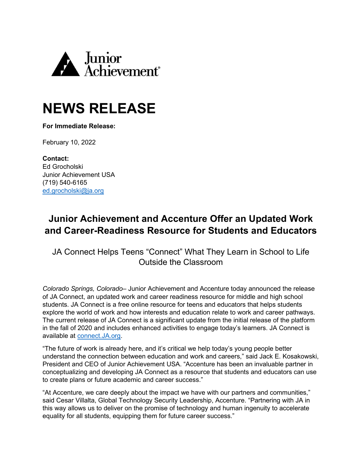

## **NEWS RELEASE**

**For Immediate Release:**

February 10, 2022

**Contact:** Ed Grocholski Junior Achievement USA (719) 540-6165 ed.grocholski@ja.org

## **Junior Achievement and Accenture Offer an Updated Work and Career-Readiness Resource for Students and Educators**

JA Connect Helps Teens "Connect" What They Learn in School to Life Outside the Classroom

*Colorado Springs, Colorado–* Junior Achievement and Accenture today announced the release of JA Connect, an updated work and career readiness resource for middle and high school students. JA Connect is a free online resource for teens and educators that helps students explore the world of work and how interests and education relate to work and career pathways. The current release of JA Connect is a significant update from the initial release of the platform in the fall of 2020 and includes enhanced activities to engage today's learners. JA Connect is available at [connect.JA.org.](https://connect.ja.org/)

"The future of work is already here, and it's critical we help today's young people better understand the connection between education and work and careers," said Jack E. Kosakowski, President and CEO of Junior Achievement USA. "Accenture has been an invaluable partner in conceptualizing and developing JA Connect as a resource that students and educators can use to create plans or future academic and career success."

"At Accenture, we care deeply about the impact we have with our partners and communities," said Cesar Villalta, Global Technology Security Leadership, Accenture. "Partnering with JA in this way allows us to deliver on the promise of technology and human ingenuity to accelerate equality for all students, equipping them for future career success."